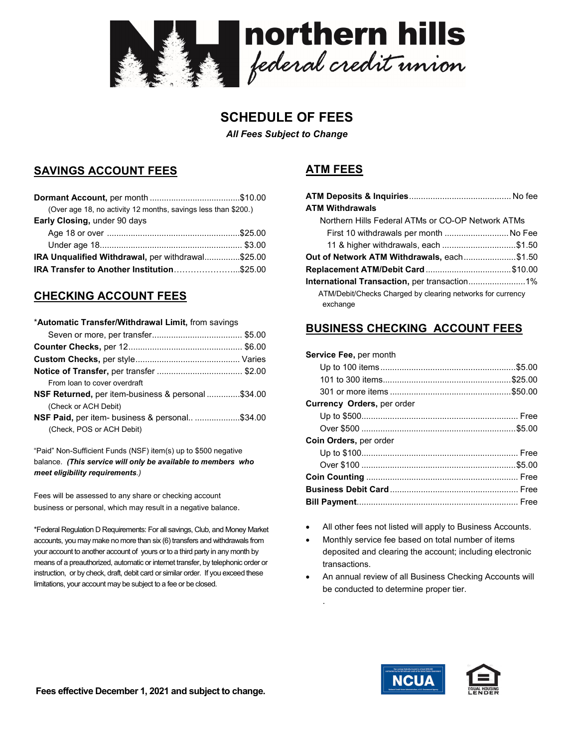

# SCHEDULE OF FEES

All Fees Subject to Change

### SAVINGS ACCOUNT FEES

| (Over age 18, no activity 12 months, savings less than \$200.) |  |
|----------------------------------------------------------------|--|
| <b>Early Closing, under 90 days</b>                            |  |
|                                                                |  |
|                                                                |  |
| <b>IRA Unqualified Withdrawal, per withdrawal\$25.00</b>       |  |
|                                                                |  |

## CHECKING ACCOUNT FEES

| *Automatic Transfer/Withdrawal Limit, from savings |  |
|----------------------------------------------------|--|
|                                                    |  |
|                                                    |  |
|                                                    |  |
|                                                    |  |
| From loan to cover overdraft                       |  |
| NSF Returned, per item-business & personal \$34.00 |  |
| (Check or ACH Debit)                               |  |
| NSF Paid, per item- business & personal\$34.00     |  |
| (Check, POS or ACH Debit)                          |  |

"Paid" Non-Sufficient Funds (NSF) item(s) up to \$500 negative balance. (This service will only be available to members who meet eligibility requirements.)

Fees will be assessed to any share or checking account business or personal, which may result in a negative balance.

\*Federal Regulation D Requirements: For all savings, Club, and Money Market accounts, you may make no more than six (6) transfers and withdrawals from your account to another account of yours or to a third party in any month by means of a preauthorized, automatic or internet transfer, by telephonic order or instruction, or by check, draft, debit card or similar order. If you exceed these limitations, your account may be subject to a fee or be closed.

# ATM FEES

| <b>ATM Withdrawals</b>                                                 |  |
|------------------------------------------------------------------------|--|
| Northern Hills Federal ATMs or CO-OP Network ATMs                      |  |
| First 10 withdrawals per month  No Fee                                 |  |
| 11 & higher withdrawals, each \$1.50                                   |  |
| Out of Network ATM Withdrawals, each\$1.50                             |  |
|                                                                        |  |
|                                                                        |  |
| ATM/Debit/Checks Charged by clearing networks for currency<br>exchange |  |

#### BUSINESS CHECKING ACCOUNT FEES

| Service Fee, per month |  |
|------------------------|--|
|------------------------|--|

.

| <b>Currency Orders, per order</b> |  |
|-----------------------------------|--|
|                                   |  |
|                                   |  |
| <b>Coin Orders, per order</b>     |  |
|                                   |  |
|                                   |  |
|                                   |  |
|                                   |  |
|                                   |  |
|                                   |  |

- All other fees not listed will apply to Business Accounts.
- Monthly service fee based on total number of items deposited and clearing the account; including electronic transactions.
- An annual review of all Business Checking Accounts will be conducted to determine proper tier.